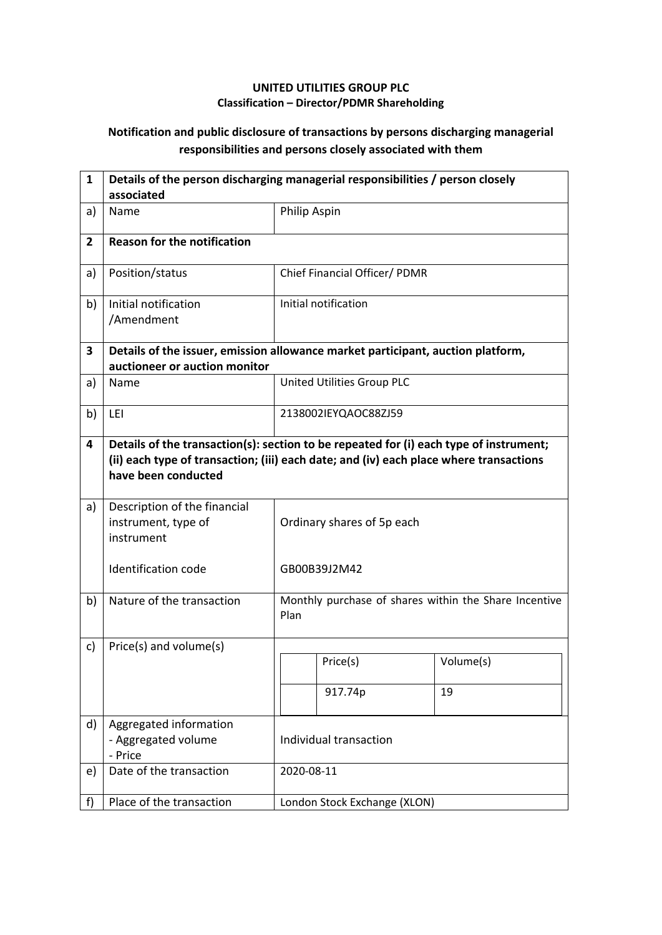## **UNITED UTILITIES GROUP PLC Classification – Director/PDMR Shareholding**

## **Notification and public disclosure of transactions by persons discharging managerial responsibilities and persons closely associated with them**

| $\mathbf{1}$   | Details of the person discharging managerial responsibilities / person closely<br>associated                     |                                                                                                                                                                                  |                               |                                                       |  |  |
|----------------|------------------------------------------------------------------------------------------------------------------|----------------------------------------------------------------------------------------------------------------------------------------------------------------------------------|-------------------------------|-------------------------------------------------------|--|--|
| a)             | Name                                                                                                             | Philip Aspin                                                                                                                                                                     |                               |                                                       |  |  |
| $\overline{2}$ | <b>Reason for the notification</b>                                                                               |                                                                                                                                                                                  |                               |                                                       |  |  |
| a)             | Position/status                                                                                                  |                                                                                                                                                                                  | Chief Financial Officer/ PDMR |                                                       |  |  |
| b)             | Initial notification<br>/Amendment                                                                               |                                                                                                                                                                                  | Initial notification          |                                                       |  |  |
| 3              | Details of the issuer, emission allowance market participant, auction platform,<br>auctioneer or auction monitor |                                                                                                                                                                                  |                               |                                                       |  |  |
| a)             | Name                                                                                                             |                                                                                                                                                                                  | United Utilities Group PLC    |                                                       |  |  |
| b)             | LEI                                                                                                              | 2138002IEYQAOC88ZJ59                                                                                                                                                             |                               |                                                       |  |  |
| 4              | have been conducted                                                                                              | Details of the transaction(s): section to be repeated for (i) each type of instrument;<br>(ii) each type of transaction; (iii) each date; and (iv) each place where transactions |                               |                                                       |  |  |
| a)             | Description of the financial<br>instrument, type of<br>instrument                                                | Ordinary shares of 5p each                                                                                                                                                       |                               |                                                       |  |  |
|                | Identification code                                                                                              |                                                                                                                                                                                  | GB00B39J2M42                  |                                                       |  |  |
| b)             | Nature of the transaction                                                                                        | Plan                                                                                                                                                                             |                               | Monthly purchase of shares within the Share Incentive |  |  |
| c)             | Price(s) and volume(s)                                                                                           |                                                                                                                                                                                  |                               |                                                       |  |  |
|                |                                                                                                                  |                                                                                                                                                                                  | Price(s)                      | Volume(s)                                             |  |  |
|                |                                                                                                                  |                                                                                                                                                                                  | 917.74p                       | 19                                                    |  |  |
| d)             | Aggregated information<br>- Aggregated volume<br>- Price                                                         | Individual transaction                                                                                                                                                           |                               |                                                       |  |  |
| e)             | Date of the transaction                                                                                          |                                                                                                                                                                                  | 2020-08-11                    |                                                       |  |  |
| f)             | Place of the transaction                                                                                         |                                                                                                                                                                                  | London Stock Exchange (XLON)  |                                                       |  |  |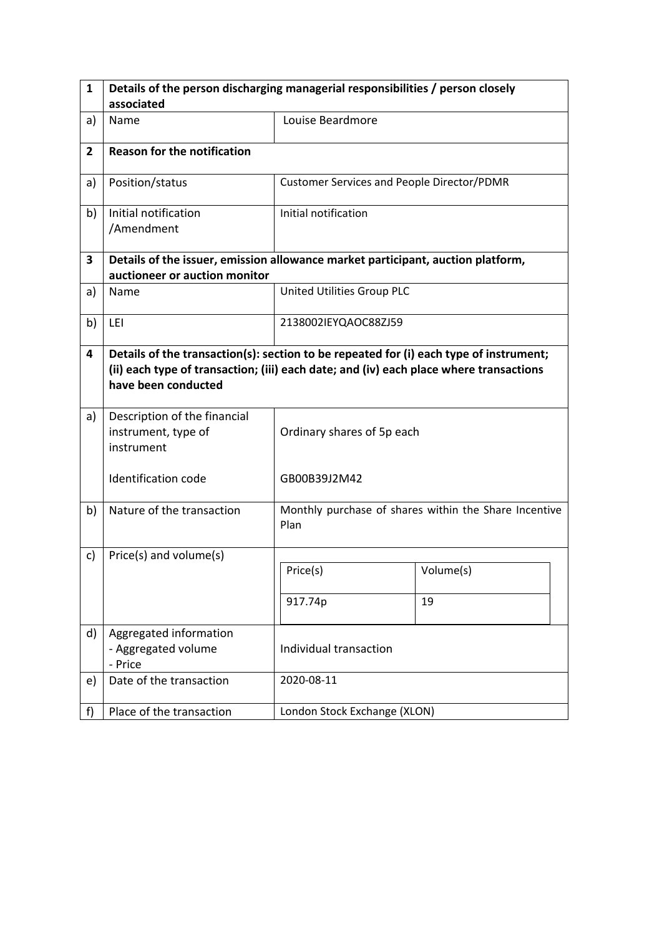| $\mathbf{1}$   | Details of the person discharging managerial responsibilities / person closely                                                                                                                          |                                                   |                                                       |  |  |  |  |
|----------------|---------------------------------------------------------------------------------------------------------------------------------------------------------------------------------------------------------|---------------------------------------------------|-------------------------------------------------------|--|--|--|--|
|                | associated                                                                                                                                                                                              |                                                   |                                                       |  |  |  |  |
| a)             | Name                                                                                                                                                                                                    | Louise Beardmore                                  |                                                       |  |  |  |  |
| $\overline{2}$ | <b>Reason for the notification</b>                                                                                                                                                                      |                                                   |                                                       |  |  |  |  |
| a)             | Position/status                                                                                                                                                                                         | <b>Customer Services and People Director/PDMR</b> |                                                       |  |  |  |  |
| b)             | Initial notification<br>/Amendment                                                                                                                                                                      | Initial notification                              |                                                       |  |  |  |  |
| 3              | Details of the issuer, emission allowance market participant, auction platform,                                                                                                                         |                                                   |                                                       |  |  |  |  |
|                | auctioneer or auction monitor                                                                                                                                                                           |                                                   |                                                       |  |  |  |  |
| a)             | Name                                                                                                                                                                                                    | United Utilities Group PLC                        |                                                       |  |  |  |  |
| b)             | LEI                                                                                                                                                                                                     | 2138002IEYQAOC88ZJ59                              |                                                       |  |  |  |  |
| 4              | Details of the transaction(s): section to be repeated for (i) each type of instrument;<br>(ii) each type of transaction; (iii) each date; and (iv) each place where transactions<br>have been conducted |                                                   |                                                       |  |  |  |  |
| a)             | Description of the financial<br>instrument, type of<br>instrument                                                                                                                                       | Ordinary shares of 5p each                        |                                                       |  |  |  |  |
|                | Identification code                                                                                                                                                                                     | GB00B39J2M42                                      |                                                       |  |  |  |  |
| b)             | Nature of the transaction                                                                                                                                                                               | Plan                                              | Monthly purchase of shares within the Share Incentive |  |  |  |  |
| c)             | Price(s) and volume(s)                                                                                                                                                                                  |                                                   |                                                       |  |  |  |  |
|                |                                                                                                                                                                                                         | Price(s)                                          | Volume(s)                                             |  |  |  |  |
|                |                                                                                                                                                                                                         | 917.74p                                           | 19                                                    |  |  |  |  |
| d)             | Aggregated information<br>- Aggregated volume<br>- Price                                                                                                                                                | Individual transaction                            |                                                       |  |  |  |  |
| e)             | Date of the transaction                                                                                                                                                                                 | 2020-08-11                                        |                                                       |  |  |  |  |
| f              | Place of the transaction                                                                                                                                                                                | London Stock Exchange (XLON)                      |                                                       |  |  |  |  |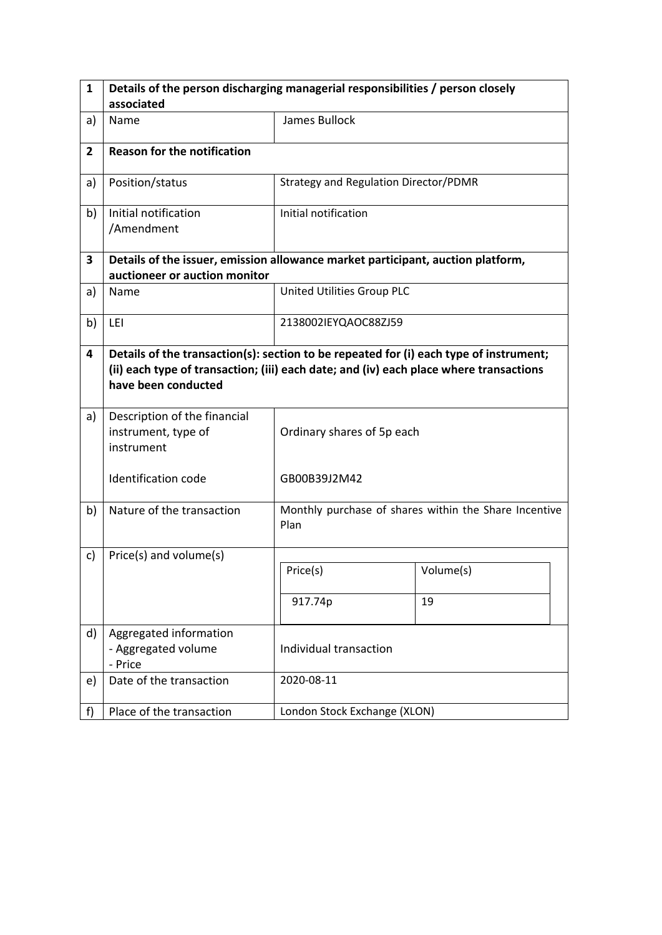| $\mathbf{1}$   | Details of the person discharging managerial responsibilities / person closely                                                                                                                          |                                       |                                                       |  |  |
|----------------|---------------------------------------------------------------------------------------------------------------------------------------------------------------------------------------------------------|---------------------------------------|-------------------------------------------------------|--|--|
|                | associated                                                                                                                                                                                              |                                       |                                                       |  |  |
| a)             | Name                                                                                                                                                                                                    | James Bullock                         |                                                       |  |  |
| $\overline{2}$ | <b>Reason for the notification</b>                                                                                                                                                                      |                                       |                                                       |  |  |
| a)             | Position/status                                                                                                                                                                                         | Strategy and Regulation Director/PDMR |                                                       |  |  |
| b)             | Initial notification<br>/Amendment                                                                                                                                                                      | Initial notification                  |                                                       |  |  |
| 3              | Details of the issuer, emission allowance market participant, auction platform,                                                                                                                         |                                       |                                                       |  |  |
|                | auctioneer or auction monitor                                                                                                                                                                           |                                       |                                                       |  |  |
| a)             | Name                                                                                                                                                                                                    | United Utilities Group PLC            |                                                       |  |  |
| b)             | LEI                                                                                                                                                                                                     | 2138002IEYQAOC88ZJ59                  |                                                       |  |  |
| 4              | Details of the transaction(s): section to be repeated for (i) each type of instrument;<br>(ii) each type of transaction; (iii) each date; and (iv) each place where transactions<br>have been conducted |                                       |                                                       |  |  |
| a)             | Description of the financial<br>instrument, type of<br>instrument                                                                                                                                       | Ordinary shares of 5p each            |                                                       |  |  |
|                | Identification code                                                                                                                                                                                     | GB00B39J2M42                          |                                                       |  |  |
| b)             | Nature of the transaction                                                                                                                                                                               | Plan                                  | Monthly purchase of shares within the Share Incentive |  |  |
| c)             | Price(s) and volume(s)                                                                                                                                                                                  |                                       |                                                       |  |  |
|                |                                                                                                                                                                                                         | Price(s)                              | Volume(s)                                             |  |  |
|                |                                                                                                                                                                                                         | 917.74p                               | 19                                                    |  |  |
| d)             | Aggregated information<br>- Aggregated volume<br>- Price                                                                                                                                                | Individual transaction                |                                                       |  |  |
| e)             | Date of the transaction                                                                                                                                                                                 | 2020-08-11                            |                                                       |  |  |
| f              | Place of the transaction                                                                                                                                                                                | London Stock Exchange (XLON)          |                                                       |  |  |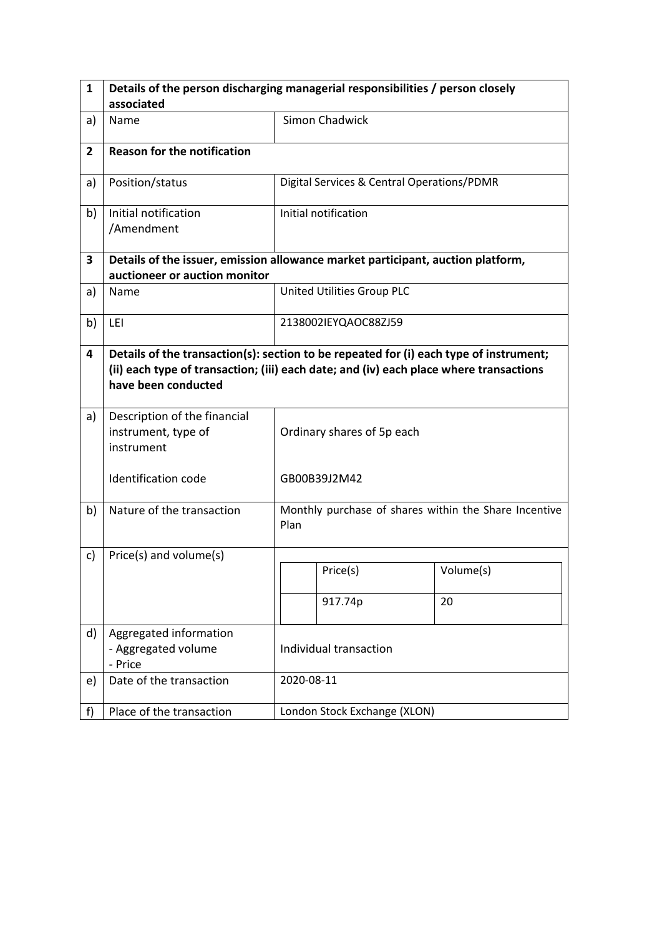| $\mathbf{1}$   | Details of the person discharging managerial responsibilities / person closely  |                                                                                                                                                                                  |                                                       |           |  |  |
|----------------|---------------------------------------------------------------------------------|----------------------------------------------------------------------------------------------------------------------------------------------------------------------------------|-------------------------------------------------------|-----------|--|--|
|                | associated                                                                      |                                                                                                                                                                                  |                                                       |           |  |  |
| a)             | Name                                                                            |                                                                                                                                                                                  | <b>Simon Chadwick</b>                                 |           |  |  |
| $\overline{2}$ | <b>Reason for the notification</b>                                              |                                                                                                                                                                                  |                                                       |           |  |  |
| a)             | Position/status                                                                 |                                                                                                                                                                                  | Digital Services & Central Operations/PDMR            |           |  |  |
| b)             | Initial notification<br>/Amendment                                              |                                                                                                                                                                                  | Initial notification                                  |           |  |  |
| 3              | Details of the issuer, emission allowance market participant, auction platform, |                                                                                                                                                                                  |                                                       |           |  |  |
|                | auctioneer or auction monitor                                                   |                                                                                                                                                                                  |                                                       |           |  |  |
| a)             | Name                                                                            |                                                                                                                                                                                  | United Utilities Group PLC                            |           |  |  |
| b)             | LEI                                                                             |                                                                                                                                                                                  | 2138002IEYQAOC88ZJ59                                  |           |  |  |
| 4              | have been conducted                                                             | Details of the transaction(s): section to be repeated for (i) each type of instrument;<br>(ii) each type of transaction; (iii) each date; and (iv) each place where transactions |                                                       |           |  |  |
| a)             | Description of the financial<br>instrument, type of<br>instrument               | Ordinary shares of 5p each                                                                                                                                                       |                                                       |           |  |  |
|                | Identification code                                                             |                                                                                                                                                                                  | GB00B39J2M42                                          |           |  |  |
| b)             | Nature of the transaction                                                       | Plan                                                                                                                                                                             | Monthly purchase of shares within the Share Incentive |           |  |  |
| c)             | Price(s) and volume(s)                                                          |                                                                                                                                                                                  |                                                       |           |  |  |
|                |                                                                                 |                                                                                                                                                                                  | Price(s)                                              | Volume(s) |  |  |
|                |                                                                                 |                                                                                                                                                                                  | 917.74p                                               | 20        |  |  |
| d)             | Aggregated information<br>- Aggregated volume<br>- Price                        | Individual transaction                                                                                                                                                           |                                                       |           |  |  |
| e)             | Date of the transaction                                                         |                                                                                                                                                                                  | 2020-08-11                                            |           |  |  |
| f              | Place of the transaction                                                        |                                                                                                                                                                                  | London Stock Exchange (XLON)                          |           |  |  |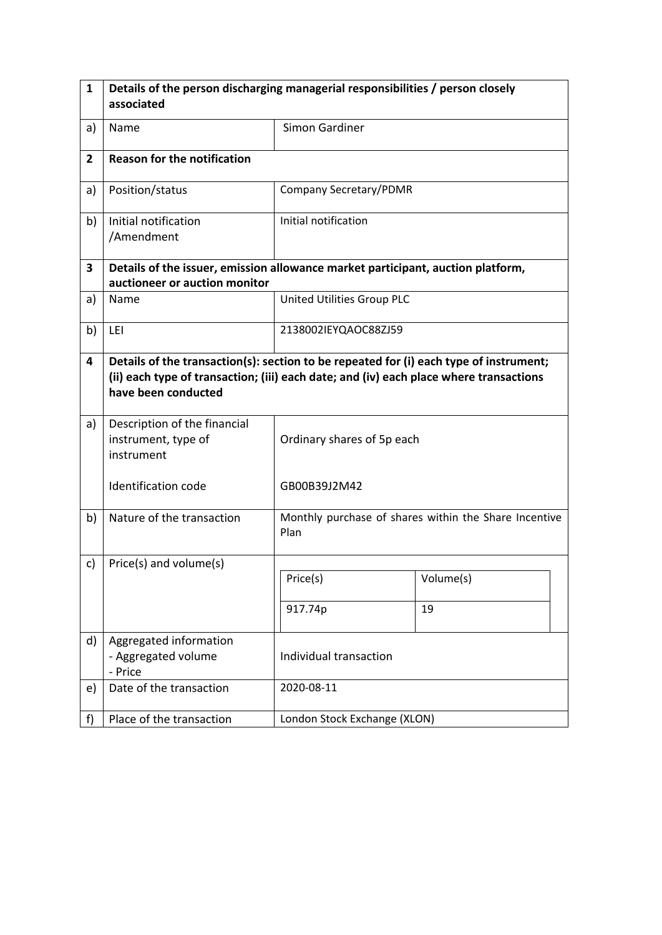| $\mathbf{1}$   | Details of the person discharging managerial responsibilities / person closely                                                                                                                          |                              |                                                       |  |  |  |  |
|----------------|---------------------------------------------------------------------------------------------------------------------------------------------------------------------------------------------------------|------------------------------|-------------------------------------------------------|--|--|--|--|
|                | associated                                                                                                                                                                                              |                              |                                                       |  |  |  |  |
| a)             | Name                                                                                                                                                                                                    | Simon Gardiner               |                                                       |  |  |  |  |
| $\overline{2}$ | <b>Reason for the notification</b>                                                                                                                                                                      |                              |                                                       |  |  |  |  |
| a)             | Position/status                                                                                                                                                                                         | Company Secretary/PDMR       |                                                       |  |  |  |  |
| b)             | Initial notification<br>/Amendment                                                                                                                                                                      | Initial notification         |                                                       |  |  |  |  |
| 3              | Details of the issuer, emission allowance market participant, auction platform,<br>auctioneer or auction monitor                                                                                        |                              |                                                       |  |  |  |  |
| a)             | Name                                                                                                                                                                                                    | United Utilities Group PLC   |                                                       |  |  |  |  |
| b)             | LEI                                                                                                                                                                                                     | 2138002IEYQAOC88ZJ59         |                                                       |  |  |  |  |
| 4              | Details of the transaction(s): section to be repeated for (i) each type of instrument;<br>(ii) each type of transaction; (iii) each date; and (iv) each place where transactions<br>have been conducted |                              |                                                       |  |  |  |  |
| a)             | Description of the financial<br>instrument, type of<br>instrument                                                                                                                                       | Ordinary shares of 5p each   |                                                       |  |  |  |  |
|                | Identification code                                                                                                                                                                                     | GB00B39J2M42                 |                                                       |  |  |  |  |
| b)             | Nature of the transaction                                                                                                                                                                               | Plan                         | Monthly purchase of shares within the Share Incentive |  |  |  |  |
| c)             | Price(s) and volume(s)                                                                                                                                                                                  |                              |                                                       |  |  |  |  |
|                |                                                                                                                                                                                                         | Price(s)                     | Volume(s)                                             |  |  |  |  |
|                |                                                                                                                                                                                                         | 917.74p                      | 19                                                    |  |  |  |  |
| d)             | Aggregated information<br>- Aggregated volume<br>- Price                                                                                                                                                | Individual transaction       |                                                       |  |  |  |  |
| e)             | Date of the transaction                                                                                                                                                                                 | 2020-08-11                   |                                                       |  |  |  |  |
| f)             | Place of the transaction                                                                                                                                                                                | London Stock Exchange (XLON) |                                                       |  |  |  |  |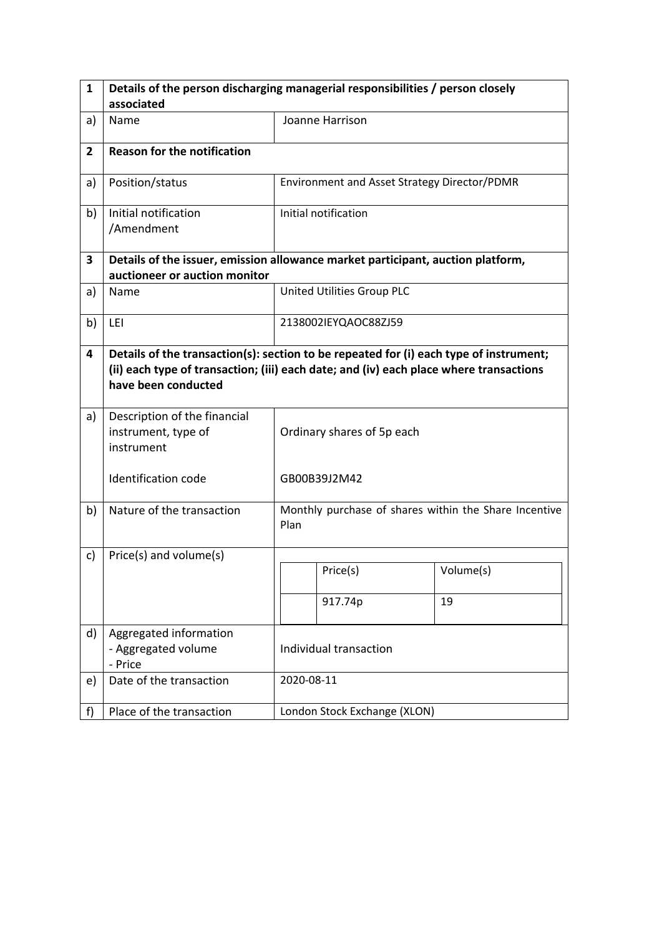| 1              | Details of the person discharging managerial responsibilities / person closely  |                                                                                                                                                                                  |                                                       |           |  |
|----------------|---------------------------------------------------------------------------------|----------------------------------------------------------------------------------------------------------------------------------------------------------------------------------|-------------------------------------------------------|-----------|--|
|                | associated                                                                      |                                                                                                                                                                                  |                                                       |           |  |
| a)             | Name                                                                            |                                                                                                                                                                                  | Joanne Harrison                                       |           |  |
| $\overline{2}$ | <b>Reason for the notification</b>                                              |                                                                                                                                                                                  |                                                       |           |  |
| a)             | Position/status                                                                 |                                                                                                                                                                                  | Environment and Asset Strategy Director/PDMR          |           |  |
| b)             | Initial notification<br>/Amendment                                              |                                                                                                                                                                                  | Initial notification                                  |           |  |
| 3              | Details of the issuer, emission allowance market participant, auction platform, |                                                                                                                                                                                  |                                                       |           |  |
|                | auctioneer or auction monitor                                                   |                                                                                                                                                                                  |                                                       |           |  |
| a)             | Name                                                                            |                                                                                                                                                                                  | United Utilities Group PLC                            |           |  |
| b)             | LEI                                                                             |                                                                                                                                                                                  | 2138002IEYQAOC88ZJ59                                  |           |  |
| 4              | have been conducted                                                             | Details of the transaction(s): section to be repeated for (i) each type of instrument;<br>(ii) each type of transaction; (iii) each date; and (iv) each place where transactions |                                                       |           |  |
| a)             | Description of the financial<br>instrument, type of<br>instrument               |                                                                                                                                                                                  | Ordinary shares of 5p each                            |           |  |
|                | Identification code                                                             |                                                                                                                                                                                  | GB00B39J2M42                                          |           |  |
| b)             | Nature of the transaction                                                       | Plan                                                                                                                                                                             | Monthly purchase of shares within the Share Incentive |           |  |
| c)             | Price(s) and volume(s)                                                          |                                                                                                                                                                                  |                                                       |           |  |
|                |                                                                                 |                                                                                                                                                                                  | Price(s)                                              | Volume(s) |  |
|                |                                                                                 |                                                                                                                                                                                  | 917.74p                                               | 19        |  |
| d)             | Aggregated information<br>- Aggregated volume<br>- Price                        | Individual transaction                                                                                                                                                           |                                                       |           |  |
| e)             | Date of the transaction                                                         |                                                                                                                                                                                  | 2020-08-11                                            |           |  |
| f)             | Place of the transaction                                                        |                                                                                                                                                                                  | London Stock Exchange (XLON)                          |           |  |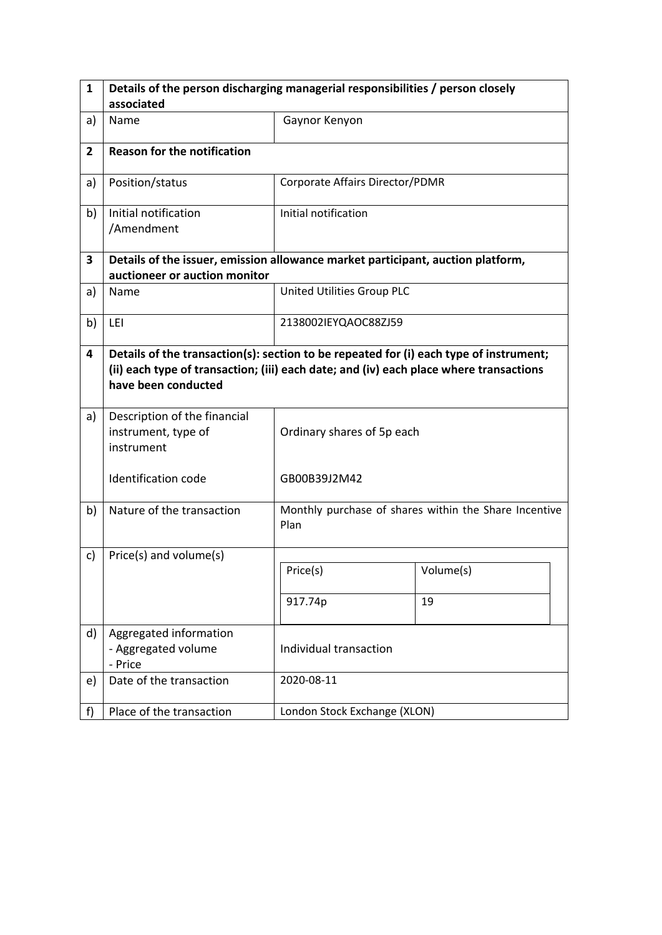| $\mathbf{1}$   | Details of the person discharging managerial responsibilities / person closely                                                                                                                          |                                 |                                                       |  |  |  |  |
|----------------|---------------------------------------------------------------------------------------------------------------------------------------------------------------------------------------------------------|---------------------------------|-------------------------------------------------------|--|--|--|--|
|                | associated                                                                                                                                                                                              |                                 |                                                       |  |  |  |  |
| a)             | Name                                                                                                                                                                                                    | Gaynor Kenyon                   |                                                       |  |  |  |  |
| $\overline{2}$ | <b>Reason for the notification</b>                                                                                                                                                                      |                                 |                                                       |  |  |  |  |
| a)             | Position/status                                                                                                                                                                                         | Corporate Affairs Director/PDMR |                                                       |  |  |  |  |
| b)             | Initial notification<br>/Amendment                                                                                                                                                                      | Initial notification            |                                                       |  |  |  |  |
| 3              | Details of the issuer, emission allowance market participant, auction platform,                                                                                                                         |                                 |                                                       |  |  |  |  |
|                | auctioneer or auction monitor                                                                                                                                                                           |                                 |                                                       |  |  |  |  |
| a)             | Name                                                                                                                                                                                                    | United Utilities Group PLC      |                                                       |  |  |  |  |
| b)             | LEI                                                                                                                                                                                                     | 2138002IEYQAOC88ZJ59            |                                                       |  |  |  |  |
| 4              | Details of the transaction(s): section to be repeated for (i) each type of instrument;<br>(ii) each type of transaction; (iii) each date; and (iv) each place where transactions<br>have been conducted |                                 |                                                       |  |  |  |  |
| a)             | Description of the financial<br>instrument, type of<br>instrument                                                                                                                                       | Ordinary shares of 5p each      |                                                       |  |  |  |  |
|                | Identification code                                                                                                                                                                                     | GB00B39J2M42                    |                                                       |  |  |  |  |
| b)             | Nature of the transaction                                                                                                                                                                               | Plan                            | Monthly purchase of shares within the Share Incentive |  |  |  |  |
| c)             | Price(s) and volume(s)                                                                                                                                                                                  |                                 |                                                       |  |  |  |  |
|                |                                                                                                                                                                                                         | Price(s)                        | Volume(s)                                             |  |  |  |  |
|                |                                                                                                                                                                                                         | 917.74p                         | 19                                                    |  |  |  |  |
| d)             | Aggregated information<br>- Aggregated volume<br>- Price                                                                                                                                                | Individual transaction          |                                                       |  |  |  |  |
| e)             | Date of the transaction                                                                                                                                                                                 | 2020-08-11                      |                                                       |  |  |  |  |
| f              | Place of the transaction                                                                                                                                                                                | London Stock Exchange (XLON)    |                                                       |  |  |  |  |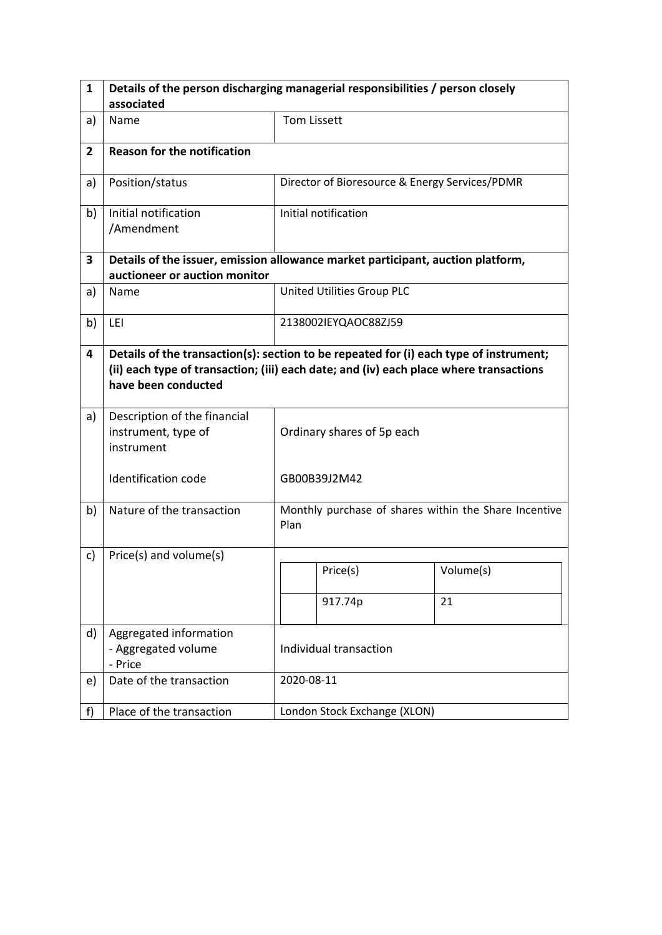| $\mathbf{1}$   | Details of the person discharging managerial responsibilities / person closely  |                                                                                                                                                                                  |                                                       |           |  |  |
|----------------|---------------------------------------------------------------------------------|----------------------------------------------------------------------------------------------------------------------------------------------------------------------------------|-------------------------------------------------------|-----------|--|--|
|                | associated                                                                      |                                                                                                                                                                                  |                                                       |           |  |  |
| a)             | Name                                                                            |                                                                                                                                                                                  | <b>Tom Lissett</b>                                    |           |  |  |
| $\overline{2}$ | <b>Reason for the notification</b>                                              |                                                                                                                                                                                  |                                                       |           |  |  |
| a)             | Position/status                                                                 |                                                                                                                                                                                  | Director of Bioresource & Energy Services/PDMR        |           |  |  |
| b)             | Initial notification<br>/Amendment                                              |                                                                                                                                                                                  | Initial notification                                  |           |  |  |
| 3              | Details of the issuer, emission allowance market participant, auction platform, |                                                                                                                                                                                  |                                                       |           |  |  |
|                | auctioneer or auction monitor                                                   |                                                                                                                                                                                  |                                                       |           |  |  |
| a)             | Name                                                                            |                                                                                                                                                                                  | United Utilities Group PLC                            |           |  |  |
| b)             | LEI                                                                             |                                                                                                                                                                                  | 2138002IEYQAOC88ZJ59                                  |           |  |  |
| 4              | have been conducted                                                             | Details of the transaction(s): section to be repeated for (i) each type of instrument;<br>(ii) each type of transaction; (iii) each date; and (iv) each place where transactions |                                                       |           |  |  |
| a)             | Description of the financial<br>instrument, type of<br>instrument               |                                                                                                                                                                                  | Ordinary shares of 5p each                            |           |  |  |
|                | Identification code                                                             |                                                                                                                                                                                  | GB00B39J2M42                                          |           |  |  |
| b)             | Nature of the transaction                                                       | Plan                                                                                                                                                                             | Monthly purchase of shares within the Share Incentive |           |  |  |
| c)             | Price(s) and volume(s)                                                          |                                                                                                                                                                                  |                                                       |           |  |  |
|                |                                                                                 |                                                                                                                                                                                  | Price(s)                                              | Volume(s) |  |  |
|                |                                                                                 |                                                                                                                                                                                  | 917.74p                                               | 21        |  |  |
| d)             | Aggregated information<br>- Aggregated volume<br>- Price                        | Individual transaction                                                                                                                                                           |                                                       |           |  |  |
| e)             | Date of the transaction                                                         |                                                                                                                                                                                  | 2020-08-11                                            |           |  |  |
| f              | Place of the transaction                                                        |                                                                                                                                                                                  | London Stock Exchange (XLON)                          |           |  |  |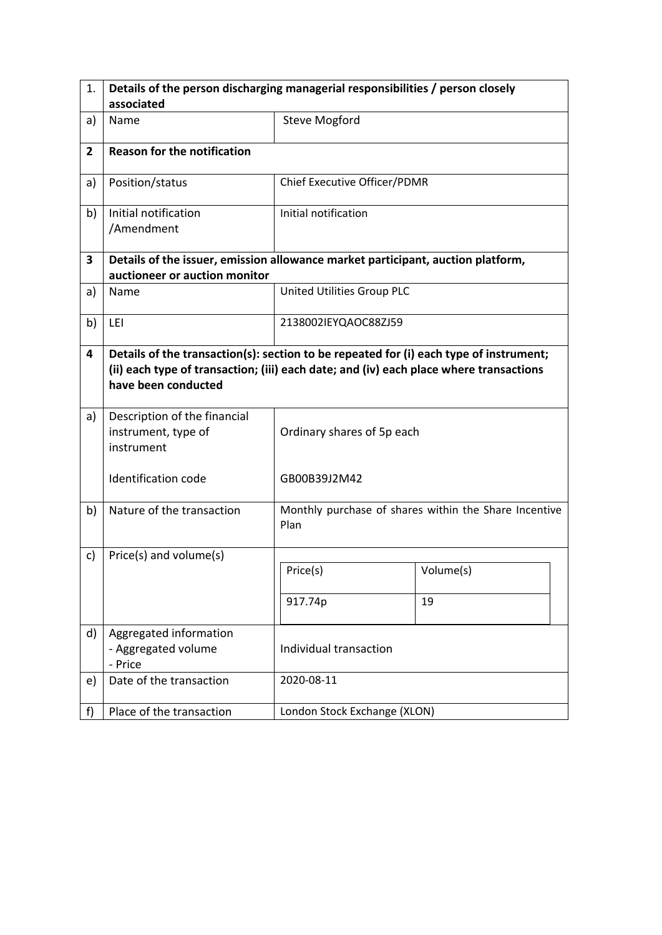| 1.             | Details of the person discharging managerial responsibilities / person closely                                                                                                                          |                              |                                                       |  |  |  |
|----------------|---------------------------------------------------------------------------------------------------------------------------------------------------------------------------------------------------------|------------------------------|-------------------------------------------------------|--|--|--|
|                | associated                                                                                                                                                                                              |                              |                                                       |  |  |  |
| a)             | Name                                                                                                                                                                                                    | <b>Steve Mogford</b>         |                                                       |  |  |  |
| $\overline{2}$ | <b>Reason for the notification</b>                                                                                                                                                                      |                              |                                                       |  |  |  |
| a)             | Position/status                                                                                                                                                                                         | Chief Executive Officer/PDMR |                                                       |  |  |  |
| b)             | Initial notification<br>/Amendment                                                                                                                                                                      | Initial notification         |                                                       |  |  |  |
| 3              | Details of the issuer, emission allowance market participant, auction platform,                                                                                                                         |                              |                                                       |  |  |  |
|                | auctioneer or auction monitor                                                                                                                                                                           |                              |                                                       |  |  |  |
| a)             | Name                                                                                                                                                                                                    | United Utilities Group PLC   |                                                       |  |  |  |
| b)             | LEI                                                                                                                                                                                                     | 2138002IEYQAOC88ZJ59         |                                                       |  |  |  |
| 4              | Details of the transaction(s): section to be repeated for (i) each type of instrument;<br>(ii) each type of transaction; (iii) each date; and (iv) each place where transactions<br>have been conducted |                              |                                                       |  |  |  |
| a)             | Description of the financial<br>instrument, type of<br>instrument                                                                                                                                       | Ordinary shares of 5p each   |                                                       |  |  |  |
|                | Identification code                                                                                                                                                                                     | GB00B39J2M42                 |                                                       |  |  |  |
| b)             | Nature of the transaction                                                                                                                                                                               | Plan                         | Monthly purchase of shares within the Share Incentive |  |  |  |
| c)             | Price(s) and volume(s)                                                                                                                                                                                  |                              |                                                       |  |  |  |
|                |                                                                                                                                                                                                         | Price(s)                     | Volume(s)                                             |  |  |  |
|                |                                                                                                                                                                                                         | 917.74p                      | 19                                                    |  |  |  |
| d)             | Aggregated information<br>- Aggregated volume<br>- Price                                                                                                                                                | Individual transaction       |                                                       |  |  |  |
| e)             | Date of the transaction                                                                                                                                                                                 | 2020-08-11                   |                                                       |  |  |  |
| f              | Place of the transaction                                                                                                                                                                                | London Stock Exchange (XLON) |                                                       |  |  |  |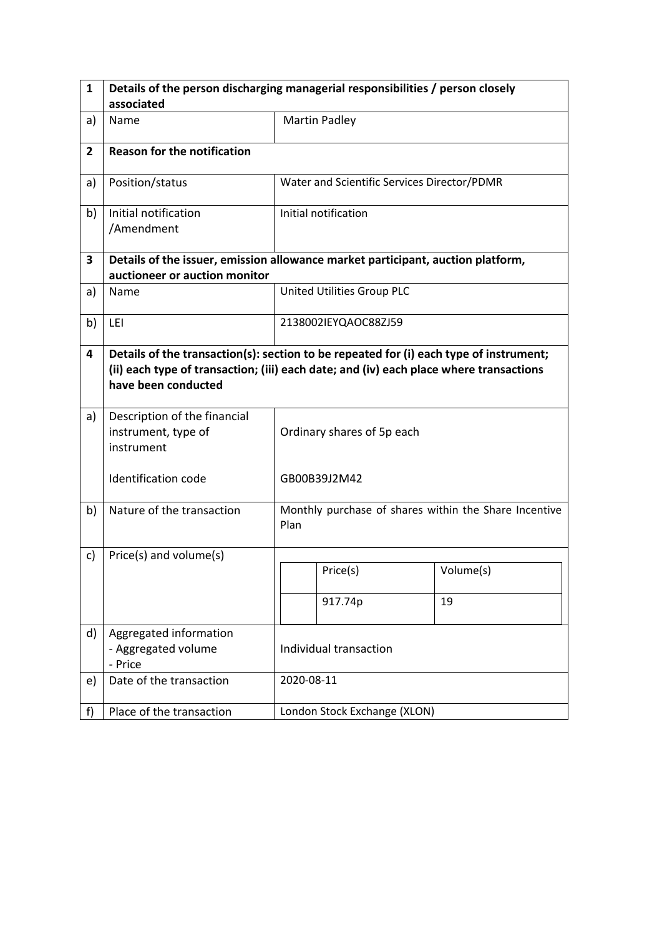| $\mathbf{1}$   | Details of the person discharging managerial responsibilities / person closely  |                                                                                                                                                                                  |                                                       |           |  |  |  |
|----------------|---------------------------------------------------------------------------------|----------------------------------------------------------------------------------------------------------------------------------------------------------------------------------|-------------------------------------------------------|-----------|--|--|--|
|                | associated                                                                      |                                                                                                                                                                                  |                                                       |           |  |  |  |
| a)             | Name                                                                            |                                                                                                                                                                                  | <b>Martin Padley</b>                                  |           |  |  |  |
| $\overline{2}$ | <b>Reason for the notification</b>                                              |                                                                                                                                                                                  |                                                       |           |  |  |  |
| a)             | Position/status                                                                 |                                                                                                                                                                                  | Water and Scientific Services Director/PDMR           |           |  |  |  |
| b)             | Initial notification<br>/Amendment                                              |                                                                                                                                                                                  | Initial notification                                  |           |  |  |  |
| 3              | Details of the issuer, emission allowance market participant, auction platform, |                                                                                                                                                                                  |                                                       |           |  |  |  |
|                | auctioneer or auction monitor                                                   |                                                                                                                                                                                  |                                                       |           |  |  |  |
| a)             | Name                                                                            |                                                                                                                                                                                  | United Utilities Group PLC                            |           |  |  |  |
| b)             | LEI                                                                             |                                                                                                                                                                                  | 2138002IEYQAOC88ZJ59                                  |           |  |  |  |
| 4              | have been conducted                                                             | Details of the transaction(s): section to be repeated for (i) each type of instrument;<br>(ii) each type of transaction; (iii) each date; and (iv) each place where transactions |                                                       |           |  |  |  |
| a)             | Description of the financial<br>instrument, type of<br>instrument               |                                                                                                                                                                                  | Ordinary shares of 5p each                            |           |  |  |  |
|                | Identification code                                                             |                                                                                                                                                                                  | GB00B39J2M42                                          |           |  |  |  |
| b)             | Nature of the transaction                                                       | Plan                                                                                                                                                                             | Monthly purchase of shares within the Share Incentive |           |  |  |  |
| c)             | Price(s) and volume(s)                                                          |                                                                                                                                                                                  |                                                       |           |  |  |  |
|                |                                                                                 |                                                                                                                                                                                  | Price(s)                                              | Volume(s) |  |  |  |
|                |                                                                                 |                                                                                                                                                                                  | 917.74p                                               | 19        |  |  |  |
| d)             | Aggregated information<br>- Aggregated volume<br>- Price                        | Individual transaction                                                                                                                                                           |                                                       |           |  |  |  |
| e)             | Date of the transaction                                                         |                                                                                                                                                                                  | 2020-08-11                                            |           |  |  |  |
| f              | Place of the transaction                                                        |                                                                                                                                                                                  | London Stock Exchange (XLON)                          |           |  |  |  |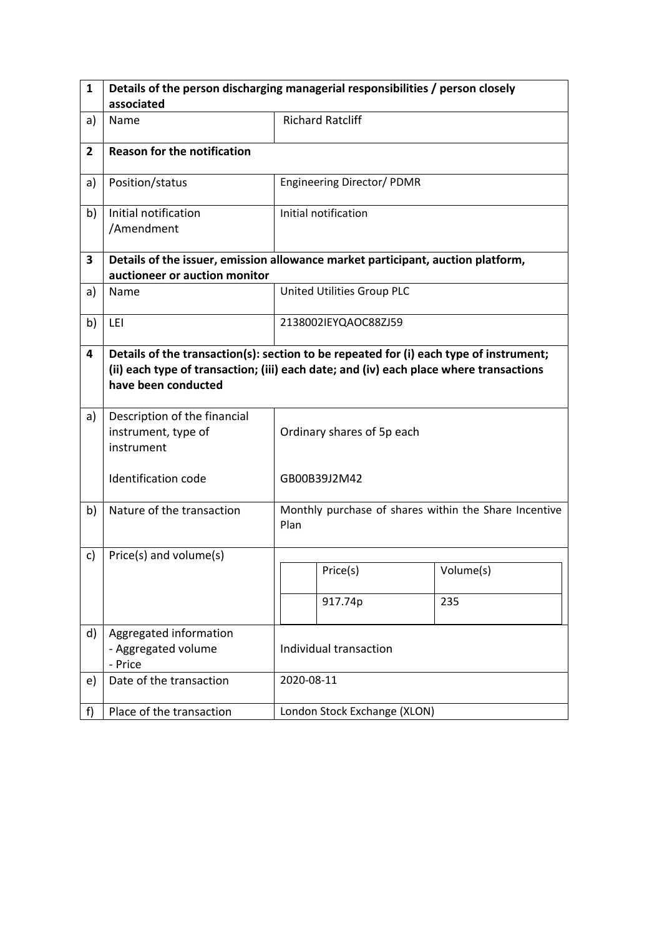| $\mathbf{1}$   | Details of the person discharging managerial responsibilities / person closely  |                                                                                                                                                                                  |                                                       |           |  |  |  |
|----------------|---------------------------------------------------------------------------------|----------------------------------------------------------------------------------------------------------------------------------------------------------------------------------|-------------------------------------------------------|-----------|--|--|--|
|                | associated                                                                      |                                                                                                                                                                                  |                                                       |           |  |  |  |
| a)             | Name                                                                            |                                                                                                                                                                                  | <b>Richard Ratcliff</b>                               |           |  |  |  |
| $\overline{2}$ | <b>Reason for the notification</b>                                              |                                                                                                                                                                                  |                                                       |           |  |  |  |
| a)             | Position/status                                                                 |                                                                                                                                                                                  | Engineering Director/ PDMR                            |           |  |  |  |
| b)             | Initial notification<br>/Amendment                                              |                                                                                                                                                                                  | Initial notification                                  |           |  |  |  |
| 3              | Details of the issuer, emission allowance market participant, auction platform, |                                                                                                                                                                                  |                                                       |           |  |  |  |
|                | auctioneer or auction monitor                                                   |                                                                                                                                                                                  |                                                       |           |  |  |  |
| a)             | Name                                                                            |                                                                                                                                                                                  | United Utilities Group PLC                            |           |  |  |  |
| b)             | LEI                                                                             |                                                                                                                                                                                  | 2138002IEYQAOC88ZJ59                                  |           |  |  |  |
| 4              | have been conducted                                                             | Details of the transaction(s): section to be repeated for (i) each type of instrument;<br>(ii) each type of transaction; (iii) each date; and (iv) each place where transactions |                                                       |           |  |  |  |
| a)             | Description of the financial<br>instrument, type of<br>instrument               |                                                                                                                                                                                  | Ordinary shares of 5p each                            |           |  |  |  |
|                | Identification code                                                             |                                                                                                                                                                                  | GB00B39J2M42                                          |           |  |  |  |
| b)             | Nature of the transaction                                                       | Plan                                                                                                                                                                             | Monthly purchase of shares within the Share Incentive |           |  |  |  |
| c)             | Price(s) and volume(s)                                                          |                                                                                                                                                                                  |                                                       |           |  |  |  |
|                |                                                                                 |                                                                                                                                                                                  | Price(s)                                              | Volume(s) |  |  |  |
|                |                                                                                 |                                                                                                                                                                                  | 917.74p                                               | 235       |  |  |  |
| d)             | Aggregated information<br>- Aggregated volume<br>- Price                        | Individual transaction                                                                                                                                                           |                                                       |           |  |  |  |
| e)             | Date of the transaction                                                         |                                                                                                                                                                                  | 2020-08-11                                            |           |  |  |  |
| f              | Place of the transaction                                                        |                                                                                                                                                                                  | London Stock Exchange (XLON)                          |           |  |  |  |